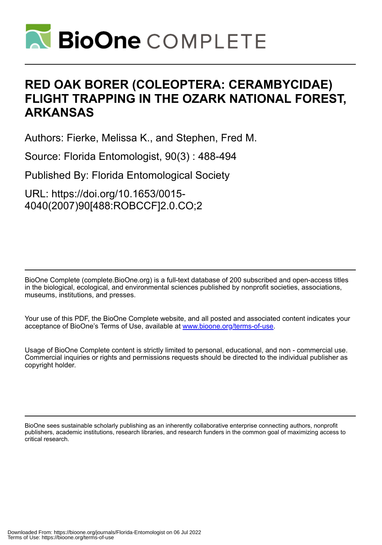

# **RED OAK BORER (COLEOPTERA: CERAMBYCIDAE) FLIGHT TRAPPING IN THE OZARK NATIONAL FOREST, ARKANSAS**

Authors: Fierke, Melissa K., and Stephen, Fred M.

Source: Florida Entomologist, 90(3) : 488-494

Published By: Florida Entomological Society

URL: https://doi.org/10.1653/0015- 4040(2007)90[488:ROBCCF]2.0.CO;2

BioOne Complete (complete.BioOne.org) is a full-text database of 200 subscribed and open-access titles in the biological, ecological, and environmental sciences published by nonprofit societies, associations, museums, institutions, and presses.

Your use of this PDF, the BioOne Complete website, and all posted and associated content indicates your acceptance of BioOne's Terms of Use, available at www.bioone.org/terms-of-use.

Usage of BioOne Complete content is strictly limited to personal, educational, and non - commercial use. Commercial inquiries or rights and permissions requests should be directed to the individual publisher as copyright holder.

BioOne sees sustainable scholarly publishing as an inherently collaborative enterprise connecting authors, nonprofit publishers, academic institutions, research libraries, and research funders in the common goal of maximizing access to critical research.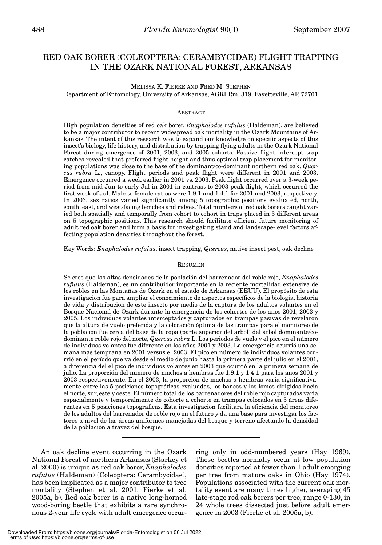# RED OAK BORER (COLEOPTERA: CERAMBYCIDAE) FLIGHT TRAPPING IN THE OZARK NATIONAL FOREST, ARKANSAS

MELISSA K. FIERKE AND FRED M. STEPHEN

Department of Entomology, University of Arkansas, AGRI Rm. 319, Fayetteville, AR 72701

# ABSTRACT

High population densities of red oak borer, *Enaphalodes rufulus* (Haldeman), are believed to be a major contributor to recent widespread oak mortality in the Ozark Mountains of Arkansas. The intent of this research was to expand our knowledge on specific aspects of this insect's biology, life history, and distribution by trapping flying adults in the Ozark National Forest during emergence of 2001, 2003, and 2005 cohorts. Passive flight intercept trap catches revealed that preferred flight height and thus optimal trap placement for monitoring populations was close to the base of the dominant/co-dominant northern red oak, *Quercus rubra* L., canopy. Flight periods and peak flight were different in 2001 and 2003. Emergence occurred a week earlier in 2001 vs. 2003. Peak flight occurred over a 3-week period from mid Jun to early Jul in 2001 in contrast to 2003 peak flight, which occurred the first week of Jul. Male to female ratios were 1.9:1 and 1.4:1 for 2001 and 2003, respectively. In 2003, sex ratios varied significantly among 5 topographic positions evaluated, north, south, east, and west-facing benches and ridges. Total numbers of red oak borers caught varied both spatially and temporally from cohort to cohort in traps placed in 3 different areas on 5 topographic positions. This research should facilitate efficient future monitoring of adult red oak borer and form a basis for investigating stand and landscape-level factors affecting population densities throughout the forest.

Key Words: *Enaphalodes rufulus*, insect trapping, *Quercus*, native insect pest, oak decline

# RESUMEN

Se cree que las altas densidades de la población del barrenador del roble rojo, *Enaphalodes rufulus* (Haldeman), es un contribuidor importante en la reciente mortalidad extensiva de los robles en las Montañas de Ozark en el estado de Arkansas (EEUU). El propósito de esta investigación fue para ampliar el conocimiento de aspectos específicos de la biologia, historia de vida y distribución de este insecto por medio de la captura de los adultos volantes en el Bosque Nacional de Ozark durante la emergencia de los cohortes de los años 2001, 2003 y 2005. Los individuos volantes interceptados y capturados en trampas pasivas de revelaron que la altura de vuelo preferida y la colocación óptima de las trampas para el monitoreo de la población fue cerca del base de la copa (parte superior del arbol) del árbol dominante/codominante roble rojo del norte, *Quercus rubra* L. Los periodos de vuelo y el pico en el número de individuos volantes fue diferente en los años 2001 y 2003. La emergencia ocurrió una semana mas temprana en 2001 versus el 2003. El pico en número de individuos volantes ocurrió en el período que va desde el medio de junio hasta la primera parte del julio en el 2001, a diferencia del el pico de individuos volantes en 2003 que ocurrió en la primera semana de julio. La proporción del numero de machos a hembras fue 1.9:1 y 1.4:1 para los años 2001 y 2003 respectivemente. En el 2003, la proporción de machos a hembras varia significativamente entre las 5 posiciones topográficas evaluadas, los bancos y los lomos dirigidos hacia el norte, sur, este y oeste. El número total de los barrenadores del roble rojo capturados varia espacialmente y temporalmente de cohorte a cohorte en trampas colocados en 3 áreas diferentes en 5 posiciones topográficas. Esta investigación facilitará la eficiencia del monitoreo de los adultos del barrenador de roble rojo en el futuro y da una base para investigar los factores a nivel de las áreas uniformes manejadas del bosque y terreno afectando la densidad de la población a travez del bosque.

An oak decline event occurring in the Ozark National Forest of northern Arkansas (Starkey et al. 2000) is unique as red oak borer, *Enaphalodes rufulus* (Haldeman) (Coleoptera: Cerambycidae), has been implicated as a major contributor to tree mortality (Stephen et al. 2001; Fierke et al. 2005a, b). Red oak borer is a native long-horned wood-boring beetle that exhibits a rare synchronous 2-year life cycle with adult emergence occur-

ring only in odd-numbered years (Hay 1969). These beetles normally occur at low population densities reported at fewer than 1 adult emerging per tree from mature oaks in Ohio (Hay 1974). Populations associated with the current oak mortality event are many times higher, averaging 45 late-stage red oak borers per tree, range 0-130, in 24 whole trees dissected just before adult emergence in 2003 (Fierke et al. 2005a, b).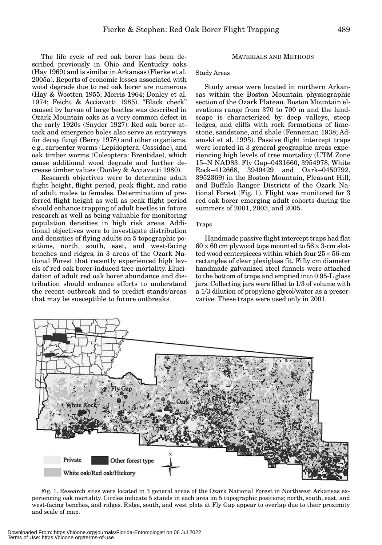The life cycle of red oak borer has been described previously in Ohio and Kentucky oaks (Hay 1969) and is similar in Arkansas (Fierke et al. 2005a). Reports of economic losses associated with wood degrade due to red oak borer are numerous (Hay & Wootten 1955; Morris 1964; Donley et al. 1974; Feicht & Acciavatti 1985). "Black check" caused by larvae of large beetles was described in Ozark Mountain oaks as a very common defect in the early 1920s (Snyder 1927). Red oak borer attack and emergence holes also serve as entryways for decay fungi (Berry 1978) and other organisms, e.g., carpenter worms (Lepidoptera: Cossidae), and oak timber worms (Coleoptera: Brentidae), which cause additional wood degrade and further decrease timber values (Donley & Acciavatti 1980).

Research objectives were to determine adult flight height, flight period, peak flight, and ratio of adult males to females. Determination of preferred flight height as well as peak flight period should enhance trapping of adult beetles in future research as well as being valuable for monitoring population densities in high risk areas. Additional objectives were to investigate distribution and densities of flying adults on 5 topographic positions, north, south, east, and west-facing benches and ridges, in 3 areas of the Ozark National Forest that recently experienced high levels of red oak borer-induced tree mortality. Elucidation of adult red oak borer abundance and distribution should enhance efforts to understand the recent outbreak and to predict stands/areas that may be susceptible to future outbreaks.

# MATERIALS AND METHODS

Study Areas

Study areas were located in northern Arkansas within the Boston Mountain physiographic section of the Ozark Plateau. Boston Mountain elevations range from 370 to 700 m and the landscape is characterized by deep valleys, steep ledges, and cliffs with rock formations of limestone, sandstone, and shale (Fenneman 1938; Adamski et al. 1995). Passive flight intercept traps were located in 3 general geographic areas experiencing high levels of tree mortality (UTM Zone 15–N NAD83: Fly Gap–0431660, 3954978, White Rock–412668, 3949429 and Oark–0450792, 3952369) in the Boston Mountain, Pleasant Hill, and Buffalo Ranger Districts of the Ozark National Forest (Fig. 1). Flight was monitored for 3 red oak borer emerging adult cohorts during the summers of 2001, 2003, and 2005.

# Traps

Handmade passive flight intercept traps had flat  $60 \times 60$  cm plywood tops mounted to  $56 \times 3$ -cm slotted wood centerpieces within which four  $25 \times 56$ -cm rectangles of clear plexiglass fit. Fifty cm diameter handmade galvanized steel funnels were attached to the bottom of traps and emptied into 0.95-L glass jars. Collecting jars were filled to 1/3 of volume with a 1/3 dilution of propylene glycol/water as a preservative. These traps were used only in 2001.



Fig. 1. Research sites were located in 3 general areas of the Ozark National Forest in Northwest Arkansas experiencing oak mortality. Circles indicate 5 stands in each area on 5 topographic positions; north, south, east, and west-facing benches, and ridges. Ridge, south, and west plots at Fly Gap appear to overlap due to their proximity and scale of map.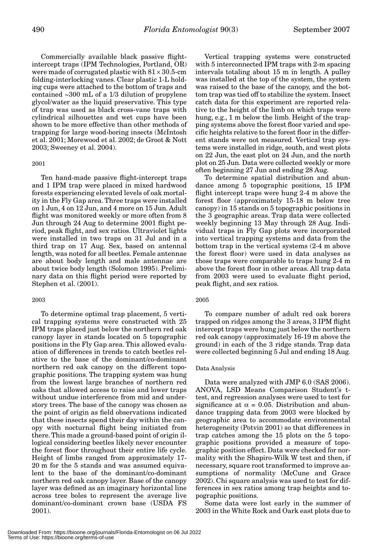Commercially available black passive flightintercept traps (IPM Technologies, Portland, OR) were made of corrugated plastic with  $81 \times 30.5$ -cm folding-interlocking vanes. Clear plastic 1-L holding cups were attached to the bottom of traps and contained ~300 mL of a 1/3 dilution of propylene glycol/water as the liquid preservative. This type of trap was used as black cross-vane traps with cylindrical silhouettes and wet cups have been shown to be more effective than other methods of trapping for large wood-boring insects (McIntosh et al. 2001; Morewood et al. 2002; de Groot & Nott 2003; Sweeney et al. 2004).

#### 2001

Ten hand-made passive flight-intercept traps and 1 IPM trap were placed in mixed hardwood forests experiencing elevated levels of oak mortality in the Fly Gap area. Three traps were installed on 1 Jun, 4 on 12 Jun, and 4 more on 15 Jun. Adult flight was monitored weekly or more often from 8 Jun through 24 Aug to determine 2001 flight period, peak flight, and sex ratios. Ultraviolet lights were installed in two traps on 31 Jul and in a third trap on 17 Aug. Sex, based on antennal length, was noted for all beetles. Female antennae are about body length and male antennae are about twice body length (Solomon 1995). Preliminary data on this flight period were reported by Stephen et al. (2001).

# 2003

To determine optimal trap placement, 5 vertical trapping systems were constructed with 25 IPM traps placed just below the northern red oak canopy layer in stands located on 5 topographic positions in the Fly Gap area. This allowed evaluation of differences in trends to catch beetles relative to the base of the dominant/co-dominant northern red oak canopy on the different topographic positions. The trapping system was hung from the lowest large branches of northern red oaks that allowed access to raise and lower traps without undue interference from mid and understory trees. The base of the canopy was chosen as the point of origin as field observations indicated that these insects spend their day within the canopy with nocturnal flight being initiated from there. This made a ground-based point of origin illogical considering beetles likely never encounter the forest floor throughout their entire life cycle. Height of limbs ranged from approximately 17- 20 m for the 5 stands and was assumed equivalent to the base of the dominant/co-dominant northern red oak canopy layer. Base of the canopy layer was defined as an imaginary horizontal line across tree boles to represent the average live dominant/co-dominant crown base (USDA FS 2001).

Vertical trapping systems were constructed with 5 interconnected IPM traps with 2-m spacing intervals totaling about 15 m in length. A pulley was installed at the top of the system, the system was raised to the base of the canopy, and the bottom trap was tied off to stabilize the system. Insect catch data for this experiment are reported relative to the height of the limb on which traps were hung, e.g., 1 m below the limb. Height of the trapping systems above the forest floor varied and specific heights relative to the forest floor in the different stands were not measured. Vertical trap systems were installed in ridge, south, and west plots on 22 Jun, the east plot on 24 Jun, and the north plot on 25 Jun. Data were collected weekly or more often beginning 27 Jun and ending 28 Aug.

To determine spatial distribution and abundance among 5 topographic positions, 15 IPM flight intercept traps were hung 2-4 m above the forest floor (approximately 15-18 m below tree canopy) in 15 stands on 5 topographic positions in the 3 geographic areas. Trap data were collected weekly beginning 13 May through 28 Aug. Individual traps in Fly Gap plots were incorporated into vertical trapping systems and data from the bottom trap in the vertical systems (2-4 m above the forest floor) were used in data analyses as those traps were comparable to traps hung 2-4 m above the forest floor in other areas. All trap data from 2003 were used to evaluate flight period, peak flight, and sex ratios.

#### 2005

To compare number of adult red oak borers trapped on ridges among the 3 areas, 3 IPM flight intercept traps were hung just below the northern red oak canopy (approximately 16-19 m above the ground) in each of the 3 ridge stands. Trap data were collected beginning 5 Jul and ending 18 Aug.

#### Data Analysis

Data were analyzed with JMP 6.0 (SAS 2006). ANOVA, LSD Means Comparison Student's ttest, and regression analyses were used to test for significance at  $\alpha = 0.05$ . Distribution and abundance trapping data from 2003 were blocked by geographic area to accommodate environmental heterogeneity (Potvin 2001) so that differences in trap catches among the 15 plots on the 5 topographic positions provided a measure of topographic position effect. Data were checked for normality with the Shapiro-Wilk W test and then, if necessary, square root transformed to improve assumptions of normality (McCune and Grace 2002). Chi square analysis was used to test for differences in sex ratios among trap heights and topographic positions.

Some data were lost early in the summer of 2003 in the White Rock and Oark east plots due to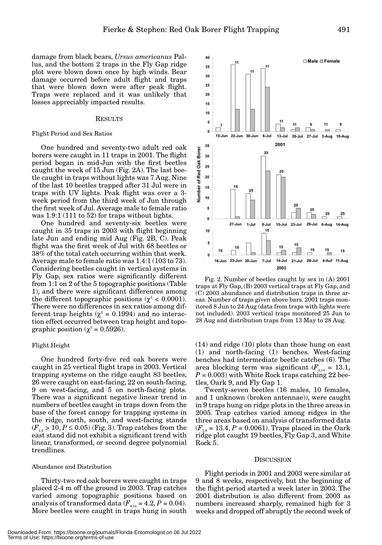40

35  $30$ 

damage from black bears, *Ursus americanus* Pallus, and the bottom 2 traps in the Fly Gap ridge plot were blown down once by high winds. Bear damage occurred before adult flight and traps that were blown down were after peak flight. Traps were replaced and it was unlikely that losses appreciably impacted results.

#### **RESULTS**

#### Flight Period and Sex Ratios

One hundred and seventy-two adult red oak borers were caught in 11 traps in 2001. The flight period began in mid-Jun with the first beetles caught the week of 15 Jun (Fig. 2A). The last beetle caught in traps without lights was 7 Aug. Nine of the last 10 beetles trapped after 31 Jul were in traps with UV lights. Peak flight was over a 3 week period from the third week of Jun through the first week of Jul. Average male to female ratio was 1.9:1 (111 to 52) for traps without lights.

One hundred and seventy-six beetles were caught in 35 traps in 2003 with flight beginning late Jun and ending mid Aug (Fig. 2B, C). Peak flight was the first week of Jul with 68 beetles or 38% of the total catch occurring within that week. Average male to female ratio was 1.4:1 (103 to 73). Considering beetles caught in vertical systems in Fly Gap, sex ratios were significantly different from 1:1 on 2 of the 5 topographic positions (Table 1), and there were significant differences among the different topographic positions ( $\chi^2$  < 0.0001). There were no differences in sex ratios among different trap heights ( $\chi^2$  = 0.1994) and no interaction effect occurred between trap height and topographic position ( $\chi^2$  = 0.5926).

#### Flight Height

One hundred forty-five red oak borers were caught in 25 vertical flight traps in 2003. Vertical trapping systems on the ridge caught 83 beetles, 26 were caught on east-facing, 22 on south-facing, 9 on west-facing, and 5 on north-facing plots. There was a significant negative linear trend in numbers of beetles caught in traps down from the base of the forest canopy for trapping systems in the ridge, north, south, and west-facing stands  $(F_{14} > 10, P \le 0.05)$  (Fig. 3). Trap catches from the east stand did not exhibit a significant trend with linear, transformed, or second degree polynomial trendlines.

# Abundance and Distribution

Thirty-two red oak borers were caught in traps placed 2-4 m off the ground in 2003. Trap catches varied among topographic positions based on analysis of transformed data  $(F_{4,14} = 4.2, P = 0.04)$ . More beetles were caught in traps hung in south

 $25$  $20$ 15 10 ė  $\Omega$ 11 11  $\overline{a}$ 厂  $\ddot{\mathbf{0}}$  $\equiv$  .  $\overline{ }$  $15 - \text{lun}$ 22-Jun 30-Jun 6-Jul  $13$ -Jul 20-Jul 27-Jul 3-Aug 10-Aug 2001 35 Borer 25 30 Number of Red Oak 25 20 14 15 10 5 m  $\mathfrak{g}$  $27 - Jun$  $1$ -Jul  $8 -$ Jul  $15$ -Jul  $29 -$ Jul  $23 -$ Jul 6-Aug  $14-Auq$ 15 10 5 15 15 15 15 15  $15$ НĪ П  $\overline{0}$ n 16-Jun 23-Jun 30-Jun  $14$ -Jul  $28 -$ Jul 4-Auf 11-Aug  $7 -$ Jul  $21$ -Jul 2003

Fig. 2. Number of beetles caught by sex in (A) 2001 traps at Fly Gap, (B) 2003 vertical traps at Fly Gap, and (C) 2003 abundance and distribution traps in three areas. Number of traps given above bars. 2001 traps monitored 8 Jun to 24 Aug (data from traps with lights were not included). 2003 vertical traps monitored 25 Jun to 28 Aug and distribution traps from 13 May to 28 Aug.

(14) and ridge (10) plots than those hung on east (1) and north-facing (1) benches. West-facing benches had intermediate beetle catches (6). The area blocking term was significant  $(F_{2,14} = 13.1,$  $P = 0.003$ ) with White Rock traps catching 22 beetles, Oark 9, and Fly Gap 1.

Twenty-seven beetles (16 males, 10 females, and 1 unknown (broken antennae)), were caught in 9 traps hung on ridge plots in the three areas in 2005. Trap catches varied among ridges in the three areas based on analysis of transformed data  $(F_{28} = 13.4, P = 0.0061)$ . Traps placed in the Oark ridge plot caught 19 beetles, Fly Gap 3, and White Rock 5.

#### **DISCUSSION**

Flight periods in 2001 and 2003 were similar at 9 and 8 weeks, respectively, but the beginning of the flight period started a week later in 2003. The 2001 distribution is also different from 2003 as numbers increased sharply, remained high for 3 weeks and dropped off abruptly the second week of

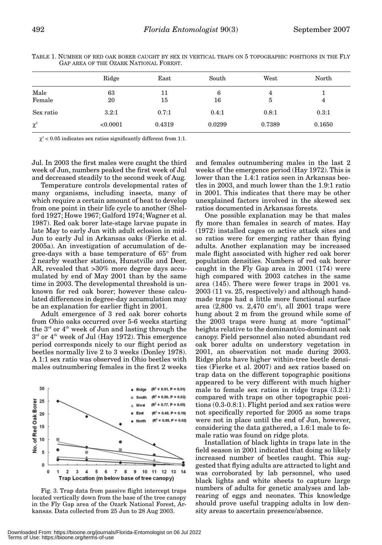| ×<br>۰,<br>-- |  |
|---------------|--|
|---------------|--|

|           | Ridge    | East   | South  | West   | North  |  |
|-----------|----------|--------|--------|--------|--------|--|
| Male      | 63       | 11     | 6      | 4      |        |  |
| Female    | 20       | 15     | 16     | 5      | 4      |  |
| Sex ratio | 3.2:1    | 0.7:1  | 0.4:1  | 0.8:1  | 0.3:1  |  |
| $\chi^2$  | < 0.0001 | 0.4319 | 0.0299 | 0.7389 | 0.1650 |  |

TABLE 1. NUMBER OF RED OAK BORER CAUGHT BY SEX IN VERTICAL TRAPS ON 5 TOPOGRAPHIC POSITIONS IN THE FLY GAP AREA OF THE OZARK NATIONAL FOREST.

 $\chi^2$  < 0.05 indicates sex ratios significantly different from 1:1.

Jul. In 2003 the first males were caught the third week of Jun, numbers peaked the first week of Jul and decreased steadily to the second week of Aug.

Temperature controls developmental rates of many organisms, including insects, many of which require a certain amount of heat to develop from one point in their life cycle to another (Shelford 1927; Howe 1967; Galford 1974; Wagner et al. 1987). Red oak borer late-stage larvae pupate in late May to early Jun with adult eclosion in mid-Jun to early Jul in Arkansas oaks (Fierke et al. 2005a). An investigation of accumulation of degree-days with a base temperature of 65° from 2 nearby weather stations, Hunstville and Deer, AR, revealed that >30% more degree days accumulated by end of May 2001 than by the same time in 2003. The developmental threshold is unknown for red oak borer; however these calculated differences in degree-day accumulation may be an explanation for earlier flight in 2001.

Adult emergence of 3 red oak borer cohorts from Ohio oaks occurred over 5-6 weeks starting the  $3<sup>rd</sup>$  or  $4<sup>th</sup>$  week of Jun and lasting through the  $3<sup>rd</sup>$  or  $4<sup>th</sup>$  week of Jul (Hay 1972). This emergence period corresponds nicely to our flight period as beetles normally live 2 to 3 weeks (Donley 1978). A 1:1 sex ratio was observed in Ohio beetles with males outnumbering females in the first 2 weeks



Fig. 3. Trap data from passive flight intercept traps located vertically down from the base of the tree canopy in the Fly Gap area of the Ozark National Forest, Arkansas. Data collected from 25 Jun to 28 Aug 2003.

and females outnumbering males in the last 2 weeks of the emergence period (Hay 1972). This is lower than the 1.4:1 ratios seen in Arkansas beetles in 2003, and much lower than the 1.9:1 ratio in 2001. This indicates that there may be other unexplained factors involved in the skewed sex ratios documented in Arkansas forests.

One possible explanation may be that males fly more than females in search of mates. Hay (1972) installed cages on active attack sites and so ratios were for emerging rather than flying adults. Another explanation may be increased male flight associated with higher red oak borer population densities. Numbers of red oak borer caught in the Fly Gap area in 2001 (174) were high compared with 2003 catches in the same area (145). There were fewer traps in 2001 vs. 2003 (11 vs. 25, respectively) and although handmade traps had a little more functional surface area (2,800 vs. 2,470 cm²), all 2001 traps were hung about 2 m from the ground while some of the 2003 traps were hung at more "optimal" heights relative to the dominant/co-dominant oak canopy. Field personnel also noted abundant red oak borer adults on understory vegetation in 2001, an observation not made during 2003. Ridge plots have higher within-tree beetle densities (Fierke et al. 2007) and sex ratios based on trap data on the different topographic positions appeared to be very different with much higher male to female sex ratios in ridge traps (3.2:1) compared with traps on other topographic positions (0.3-0.8:1). Flight period and sex ratios were not specifically reported for 2005 as some traps were not in place until the end of Jun, however, considering the data gathered, a 1.6:1 male to female ratio was found on ridge plots.

Installation of black lights in traps late in the field season in 2001 indicated that doing so likely increased number of beetles caught. This suggested that flying adults are attracted to light and was corroborated by lab personnel, who used black lights and white sheets to capture large numbers of adults for genetic analyses and labrearing of eggs and neonates. This knowledge should prove useful trapping adults in low density areas to ascertain presence/absence.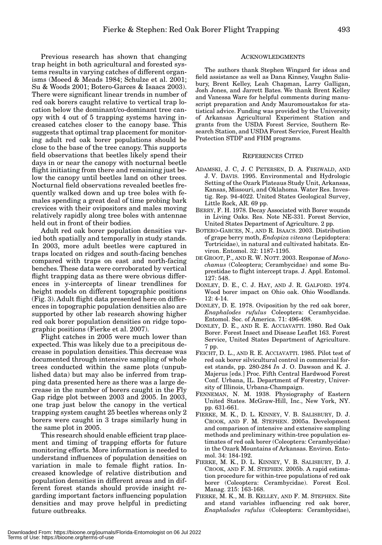Previous research has shown that changing trap height in both agricultural and forested systems results in varying catches of different organisms (Moeed & Meads 1984; Schulze et al. 2001; Su & Woods 2001; Botero-Garces & Isaacs 2003). There were significant linear trends in number of red oak borers caught relative to vertical trap location below the dominant/co-dominant tree canopy with 4 out of 5 trapping systems having increased catches closer to the canopy base. This suggests that optimal trap placement for monitoring adult red oak borer populations should be close to the base of the tree canopy. This supports field observations that beetles likely spend their days in or near the canopy with nocturnal beetle flight initiating from there and remaining just below the canopy until beetles land on other trees. Nocturnal field observations revealed beetles frequently walked down and up tree boles with females spending a great deal of time probing bark crevices with their ovipositors and males moving relatively rapidly along tree boles with antennae held out in front of their bodies.

Adult red oak borer population densities varied both spatially and temporally in study stands. In 2003, more adult beetles were captured in traps located on ridges and south-facing benches compared with traps on east and north-facing benches. These data were corroborated by vertical flight trapping data as there were obvious differences in y-intercepts of linear trendlines for height models on different topographic positions (Fig. 3). Adult flight data presented here on differences in topographic population densities also are supported by other lab research showing higher red oak borer population densities on ridge topographic positions (Fierke et al. 2007).

Flight catches in 2005 were much lower than expected. This was likely due to a precipitous decrease in population densities. This decrease was documented through intensive sampling of whole trees conducted within the same plots (unpublished data) but may also be inferred from trapping data presented here as there was a large decrease in the number of borers caught in the Fly Gap ridge plot between 2003 and 2005. In 2003, one trap just below the canopy in the vertical trapping system caught 25 beetles whereas only 2 borers were caught in 3 traps similarly hung in the same plot in 2005.

This research should enable efficient trap placement and timing of trapping efforts for future monitoring efforts. More information is needed to understand influences of population densities on variation in male to female flight ratios. Increased knowledge of relative distribution and population densities in different areas and in different forest stands should provide insight regarding important factors influencing population densities and may prove helpful in predicting future outbreaks.

# ACKNOWLEDGMENTS

The authors thank Stephen Wingard for ideas and field assistance as well as Dana Kinney, Vaughn Salisbury, Brent Kelley, Leah Chapman, Larry Galligan, Josh Jones, and Jarrett Bates. We thank Brent Kelley and Vanessa Ware for helpful comments during manuscript preparation and Andy Mauromoustakos for statistical advice. Funding was provided by the University of Arkansas Agricultural Experiment Station and grants from the USDA Forest Service, Southern Research Station, and USDA Forest Service, Forest Health Protection STDP and FHM programs.

#### REFERENCES CITED

- ADAMSKI, J. C, J. C PETERSEN, D. A. FREIWALD, AND J. V. DAVIS. 1995. Environmental and Hydrologic Setting of the Ozark Plateaus Study Unit, Arkansas, Kansas, Missouri, and Oklahoma. Water Res. Investig. Rep. 94-4022. United States Geological Survey, Little Rock, AR. 69 pp.
- BERRY, F. H. 1978. Decay Associated with Borer wounds in Living Oaks. Res. Note NE-331. Forest Service, United States Department of Agriculture. 2 pp.
- BOTERO-GARCES, N., AND R. ISAACS. 2003. Distribution of grape berry moth, *Endopiza viteana* (Lepidoptera: Tortricidae), in natural and cultivated habitats. Environ. Entomol. 32: 1187-1195.
- DE GROOT, P., AND R. W. NOTT. 2003. Response of *Monochamus* (Coleoptera; Cerambycidae) and some Buprestidae to flight intercept traps. J. Appl. Entomol.  $127:548$ .
- DONLEY, D. E., C. J. HAY, AND J. R. GALFORD. 1974. Wood borer impact on Ohio oak. Ohio Woodlands. 12: 4-14.
- DONLEY, D. E. 1978. Oviposition by the red oak borer, *Enaphalodes rufulus* Coleoptera: Cerambycidae. Entomol. Soc. of America. 71: 496-498.
- DONLEY, D. E., AND R. E. ACCIAVATTI. 1980. Red Oak Borer. Forest Insect and Disease Leaflet 163. Forest Service, United States Department of Agriculture. 7 pp.
- FEICHT, D. L., AND R. E. ACCIAVATTI. 1985. Pilot test of red oak borer silvicultural control in commercial forest stands, pp. 280-284 *In* J. O. Dawson and K. J. Majerus [eds.] Proc. Fifth Central Hardwood Forest Conf. Urbana, IL. Department of Forestry, University of Illinois, Urbana-Champaign.
- FENNEMAN, N. M. 1938. Physiography of Eastern United States. McGraw-Hill, Inc., New York, NY. pp. 631-661.
- FIERKE, M. K., D. L. KINNEY, V. B. SALISBURY, D. J. CROOK, AND F. M. STEPHEN. 2005a. Development and comparison of intensive and extensive sampling methods and preliminary within-tree population estimates of red oak borer (Coleoptera: Cerambycidae) in the Ozark Mountains of Arkansas. Environ. Entomol. 34: 184-192.
- FIERKE, M. K., D. L. KINNEY, V. B. SALISBURY, D. J. CROOK, AND F. M. STEPHEN. 2005b. A rapid estimation procedure for within-tree populations of red oak borer (Coleoptera: Cerambycidae). Forest Ecol. Manag. 215: 163-168.
- FIERKE, M. K., M. B. KELLEY, AND F. M. STEPHEN. Site and stand variables influencing red oak borer, *Enaphalodes rufulus* (Coleoptera: Cerambycidae),